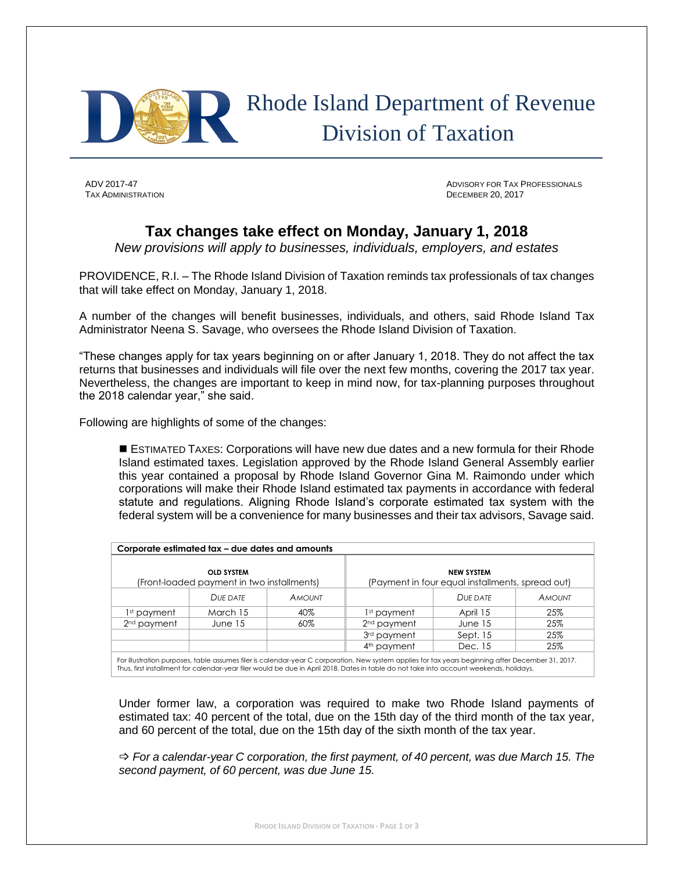

## Rhode Island Department of Revenue Division of Taxation

TAX ADMINISTRATION DECEMBER 20, 2017

ADV 2017-47 ADVISORY FOR TAX PROFESSIONALS

## **Tax changes take effect on Monday, January 1, 2018**

*New provisions will apply to businesses, individuals, employers, and estates*

PROVIDENCE, R.I. – The Rhode Island Division of Taxation reminds tax professionals of tax changes that will take effect on Monday, January 1, 2018.

A number of the changes will benefit businesses, individuals, and others, said Rhode Island Tax Administrator Neena S. Savage, who oversees the Rhode Island Division of Taxation.

"These changes apply for tax years beginning on or after January 1, 2018. They do not affect the tax returns that businesses and individuals will file over the next few months, covering the 2017 tax year. Nevertheless, the changes are important to keep in mind now, for tax-planning purposes throughout the 2018 calendar year," she said.

Following are highlights of some of the changes:

 ESTIMATED TAXES: Corporations will have new due dates and a new formula for their Rhode Island estimated taxes. Legislation approved by the Rhode Island General Assembly earlier this year contained a proposal by Rhode Island Governor Gina M. Raimondo under which corporations will make their Rhode Island estimated tax payments in accordance with federal statute and regulations. Aligning Rhode Island's corporate estimated tax system with the federal system will be a convenience for many businesses and their tax advisors, Savage said.

| Corporate estimated tax – due dates and amounts                 |          |               |                                                                       |           |               |
|-----------------------------------------------------------------|----------|---------------|-----------------------------------------------------------------------|-----------|---------------|
| <b>OLD SYSTEM</b><br>(Front-loaded payment in two installments) |          |               | <b>NEW SYSTEM</b><br>(Payment in four equal installments, spread out) |           |               |
|                                                                 | DUE DATE | <b>AMOUNT</b> |                                                                       | DUE DATE  | <b>AMOUNT</b> |
| 1st payment.                                                    | March 15 | 40%           | 1st payment                                                           | April 15  | 25%           |
| 2 <sup>nd</sup> payment                                         | June 15  | 60%           | 2 <sup>nd</sup> payment                                               | June $15$ | 25%           |
|                                                                 |          |               | 3 <sup>rd</sup> payment                                               | Sept. 15  | 25%           |
|                                                                 |          |               | 4 <sup>th</sup> payment                                               | Dec. 15   | 25%           |

Under former law, a corporation was required to make two Rhode Island payments of estimated tax: 40 percent of the total, due on the 15th day of the third month of the tax year, and 60 percent of the total, due on the 15th day of the sixth month of the tax year.

 *For a calendar-year C corporation, the first payment, of 40 percent, was due March 15. The second payment, of 60 percent, was due June 15.*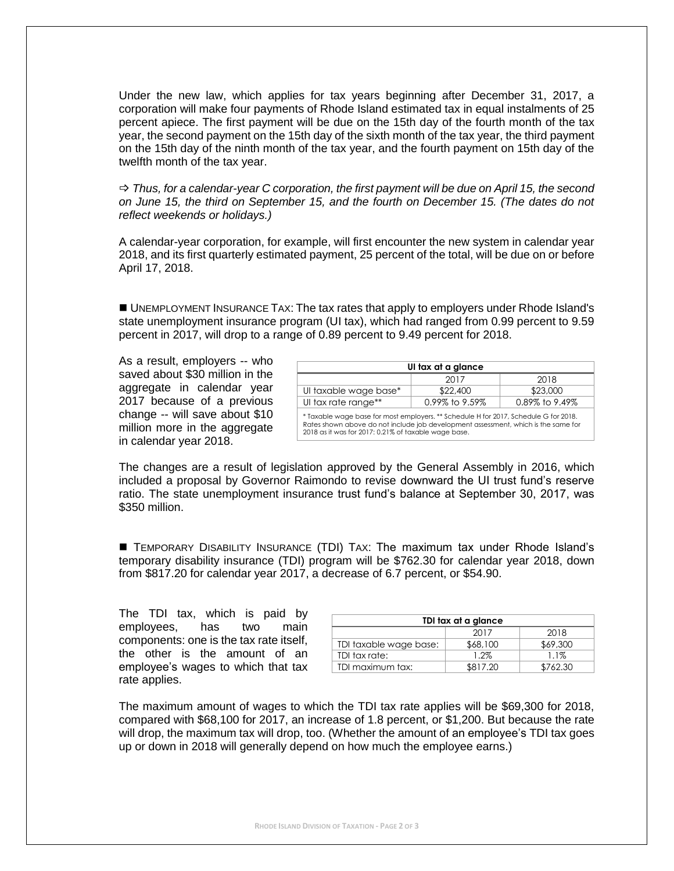Under the new law, which applies for tax years beginning after December 31, 2017, a corporation will make four payments of Rhode Island estimated tax in equal instalments of 25 percent apiece. The first payment will be due on the 15th day of the fourth month of the tax year, the second payment on the 15th day of the sixth month of the tax year, the third payment on the 15th day of the ninth month of the tax year, and the fourth payment on 15th day of the twelfth month of the tax year.

 *Thus, for a calendar-year C corporation, the first payment will be due on April 15, the second on June 15, the third on September 15, and the fourth on December 15. (The dates do not reflect weekends or holidays.)*

A calendar-year corporation, for example, will first encounter the new system in calendar year 2018, and its first quarterly estimated payment, 25 percent of the total, will be due on or before April 17, 2018.

 UNEMPLOYMENT INSURANCE TAX: The tax rates that apply to employers under Rhode Island's state unemployment insurance program (UI tax), which had ranged from 0.99 percent to 9.59 percent in 2017, will drop to a range of 0.89 percent to 9.49 percent for 2018.

As a result, employers -- who saved about \$30 million in the aggregate in calendar year 2017 because of a previous change -- will save about \$10 million more in the aggregate in calendar year 2018.

| UI tax at a glance                                                                                                                                                                                                                 |          |                |  |  |  |
|------------------------------------------------------------------------------------------------------------------------------------------------------------------------------------------------------------------------------------|----------|----------------|--|--|--|
|                                                                                                                                                                                                                                    | 2017     | 2018           |  |  |  |
| UI taxable wage base*                                                                                                                                                                                                              | \$22,400 | \$23,000       |  |  |  |
| UI tax rate range**<br>0.99% to 9.59%                                                                                                                                                                                              |          | 0.89% to 9.49% |  |  |  |
| * Taxable wage base for most employers. ** Schedule H for 2017, Schedule G for 2018.<br>Rates shown above do not include job development assessment, which is the same for<br>2018 as it was for 2017: 0.21% of taxable wage base. |          |                |  |  |  |

The changes are a result of legislation approved by the General Assembly in 2016, which included a proposal by Governor Raimondo to revise downward the UI trust fund's reserve ratio. The state unemployment insurance trust fund's balance at September 30, 2017, was \$350 million.

 TEMPORARY DISABILITY INSURANCE (TDI) TAX: The maximum tax under Rhode Island's temporary disability insurance (TDI) program will be \$762.30 for calendar year 2018, down from \$817.20 for calendar year 2017, a decrease of 6.7 percent, or \$54.90.

The TDI tax, which is paid by employees, has two main components: one is the tax rate itself, the other is the amount of an employee's wages to which that tax rate applies.

| TDI tax at a glance    |          |          |  |  |  |
|------------------------|----------|----------|--|--|--|
|                        | 2017     | 2018     |  |  |  |
| TDI taxable wage base: | \$68,100 | \$69,300 |  |  |  |
| TDI tax rate:          | 1.2%     | 1.1%     |  |  |  |
| TDI maximum tax:       | \$817.20 | \$762.30 |  |  |  |

The maximum amount of wages to which the TDI tax rate applies will be \$69,300 for 2018, compared with \$68,100 for 2017, an increase of 1.8 percent, or \$1,200. But because the rate will drop, the maximum tax will drop, too. (Whether the amount of an employee's TDI tax goes up or down in 2018 will generally depend on how much the employee earns.)